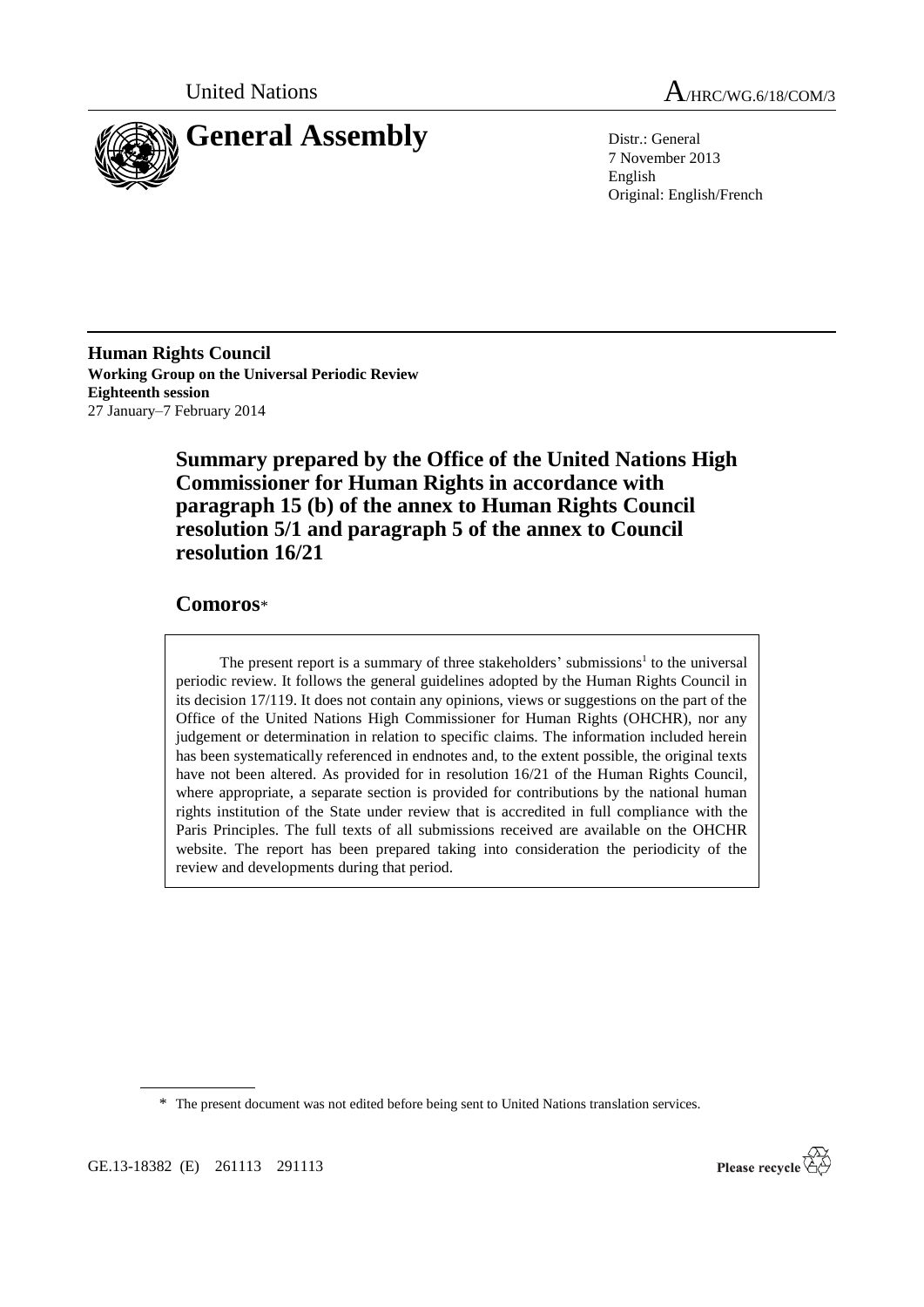

United Nations A/HRC/WG.6/18/COM/3

7 November 2013 English Original: English/French

**Human Rights Council Working Group on the Universal Periodic Review Eighteenth session** 27 January–7 February 2014

> **Summary prepared by the Office of the United Nations High Commissioner for Human Rights in accordance with paragraph 15 (b) of the annex to Human Rights Council resolution 5/1 and paragraph 5 of the annex to Council resolution 16/21**

# **Comoros**\*

The present report is a summary of three stakeholders' submissions<sup>1</sup> to the universal periodic review. It follows the general guidelines adopted by the Human Rights Council in its decision 17/119. It does not contain any opinions, views or suggestions on the part of the Office of the United Nations High Commissioner for Human Rights (OHCHR), nor any judgement or determination in relation to specific claims. The information included herein has been systematically referenced in endnotes and, to the extent possible, the original texts have not been altered. As provided for in resolution 16/21 of the Human Rights Council, where appropriate, a separate section is provided for contributions by the national human rights institution of the State under review that is accredited in full compliance with the Paris Principles. The full texts of all submissions received are available on the OHCHR website. The report has been prepared taking into consideration the periodicity of the review and developments during that period.

\* The present document was not edited before being sent to United Nations translation services.

GE.13-18382 (E) 261113 291113

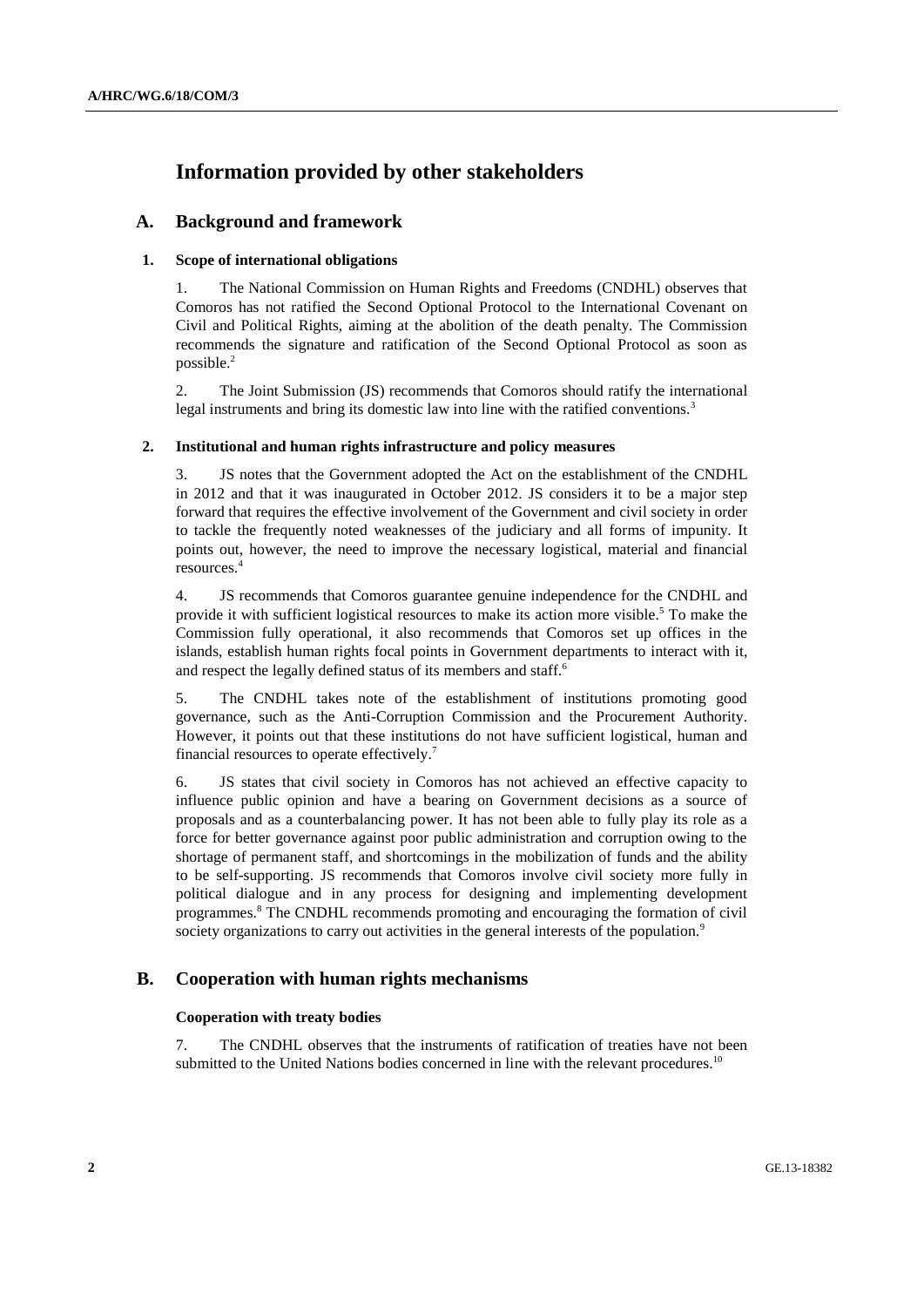# **Information provided by other stakeholders**

# **A. Background and framework**

# **1. Scope of international obligations**

1. The National Commission on Human Rights and Freedoms (CNDHL) observes that Comoros has not ratified the Second Optional Protocol to the International Covenant on Civil and Political Rights, aiming at the abolition of the death penalty. The Commission recommends the signature and ratification of the Second Optional Protocol as soon as possible.<sup>2</sup>

2. The Joint Submission (JS) recommends that Comoros should ratify the international legal instruments and bring its domestic law into line with the ratified conventions.<sup>3</sup>

## **2. Institutional and human rights infrastructure and policy measures**

3. JS notes that the Government adopted the Act on the establishment of the CNDHL in 2012 and that it was inaugurated in October 2012. JS considers it to be a major step forward that requires the effective involvement of the Government and civil society in order to tackle the frequently noted weaknesses of the judiciary and all forms of impunity. It points out, however, the need to improve the necessary logistical, material and financial resources. 4

4. JS recommends that Comoros guarantee genuine independence for the CNDHL and provide it with sufficient logistical resources to make its action more visible.<sup>5</sup> To make the Commission fully operational, it also recommends that Comoros set up offices in the islands, establish human rights focal points in Government departments to interact with it, and respect the legally defined status of its members and staff.<sup>6</sup>

5. The CNDHL takes note of the establishment of institutions promoting good governance, such as the Anti-Corruption Commission and the Procurement Authority. However, it points out that these institutions do not have sufficient logistical, human and financial resources to operate effectively.<sup>7</sup>

6. JS states that civil society in Comoros has not achieved an effective capacity to influence public opinion and have a bearing on Government decisions as a source of proposals and as a counterbalancing power. It has not been able to fully play its role as a force for better governance against poor public administration and corruption owing to the shortage of permanent staff, and shortcomings in the mobilization of funds and the ability to be self-supporting. JS recommends that Comoros involve civil society more fully in political dialogue and in any process for designing and implementing development programmes.<sup>8</sup> The CNDHL recommends promoting and encouraging the formation of civil society organizations to carry out activities in the general interests of the population.<sup>9</sup>

# **B. Cooperation with human rights mechanisms**

# **Cooperation with treaty bodies**

7. The CNDHL observes that the instruments of ratification of treaties have not been submitted to the United Nations bodies concerned in line with the relevant procedures.<sup>10</sup>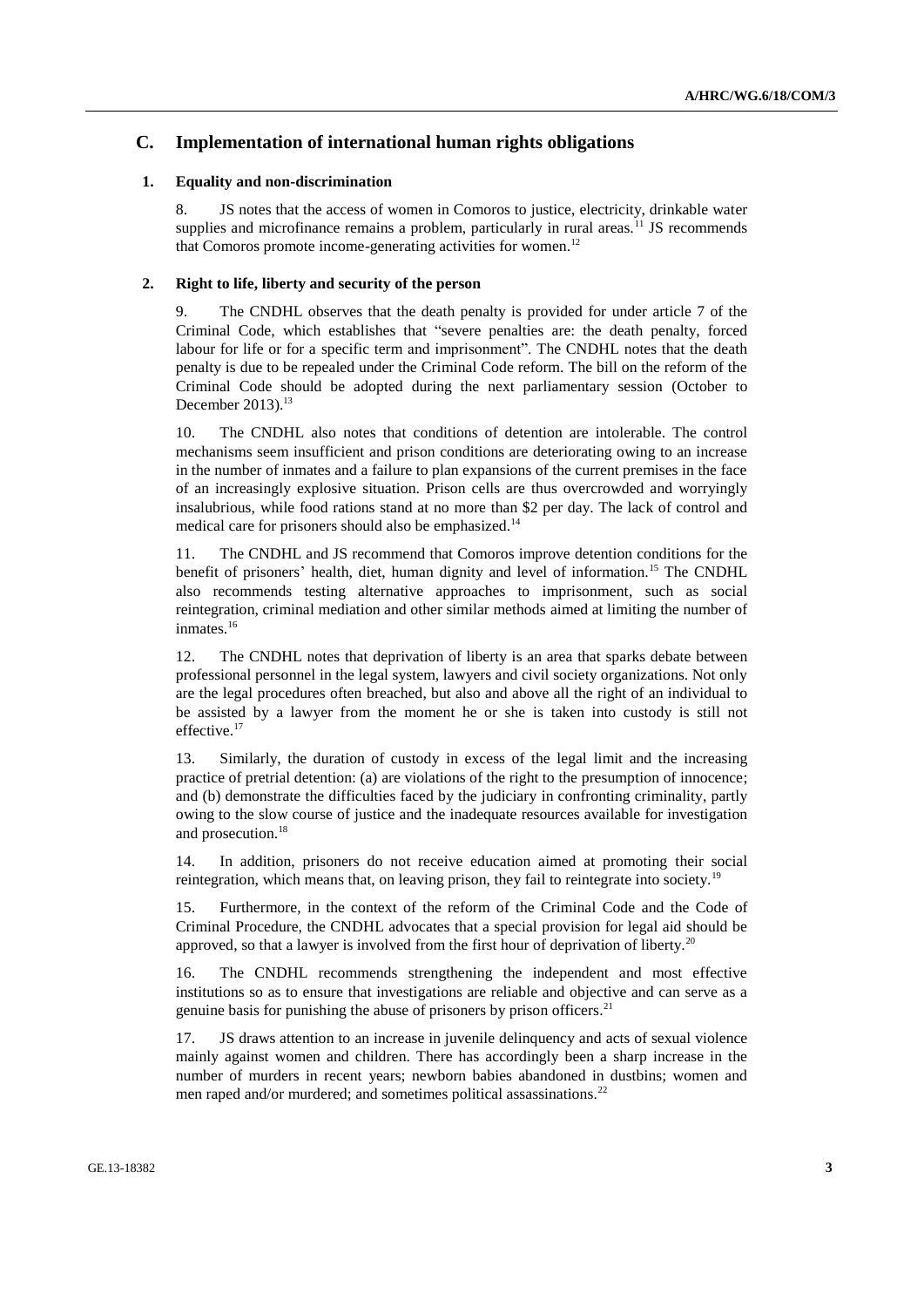# **C. Implementation of international human rights obligations**

### **1. Equality and non-discrimination**

8. JS notes that the access of women in Comoros to justice, electricity, drinkable water supplies and microfinance remains a problem, particularly in rural areas.<sup>11</sup> JS recommends that Comoros promote income-generating activities for women.<sup>12</sup>

## **2. Right to life, liberty and security of the person**

9. The CNDHL observes that the death penalty is provided for under article 7 of the Criminal Code, which establishes that "severe penalties are: the death penalty, forced labour for life or for a specific term and imprisonment". The CNDHL notes that the death penalty is due to be repealed under the Criminal Code reform. The bill on the reform of the Criminal Code should be adopted during the next parliamentary session (October to December 2013).<sup>13</sup>

10. The CNDHL also notes that conditions of detention are intolerable. The control mechanisms seem insufficient and prison conditions are deteriorating owing to an increase in the number of inmates and a failure to plan expansions of the current premises in the face of an increasingly explosive situation. Prison cells are thus overcrowded and worryingly insalubrious, while food rations stand at no more than \$2 per day. The lack of control and medical care for prisoners should also be emphasized.<sup>14</sup>

11. The CNDHL and JS recommend that Comoros improve detention conditions for the benefit of prisoners' health, diet, human dignity and level of information.<sup>15</sup> The CNDHL also recommends testing alternative approaches to imprisonment, such as social reintegration, criminal mediation and other similar methods aimed at limiting the number of inmates.<sup>16</sup>

12. The CNDHL notes that deprivation of liberty is an area that sparks debate between professional personnel in the legal system, lawyers and civil society organizations. Not only are the legal procedures often breached, but also and above all the right of an individual to be assisted by a lawyer from the moment he or she is taken into custody is still not effective.<sup>17</sup>

13. Similarly, the duration of custody in excess of the legal limit and the increasing practice of pretrial detention: (a) are violations of the right to the presumption of innocence; and (b) demonstrate the difficulties faced by the judiciary in confronting criminality, partly owing to the slow course of justice and the inadequate resources available for investigation and prosecution.<sup>18</sup>

14. In addition, prisoners do not receive education aimed at promoting their social reintegration, which means that, on leaving prison, they fail to reintegrate into society.<sup>19</sup>

15. Furthermore, in the context of the reform of the Criminal Code and the Code of Criminal Procedure, the CNDHL advocates that a special provision for legal aid should be approved, so that a lawyer is involved from the first hour of deprivation of liberty.<sup>20</sup>

16. The CNDHL recommends strengthening the independent and most effective institutions so as to ensure that investigations are reliable and objective and can serve as a genuine basis for punishing the abuse of prisoners by prison officers.<sup>21</sup>

17. JS draws attention to an increase in juvenile delinquency and acts of sexual violence mainly against women and children. There has accordingly been a sharp increase in the number of murders in recent years; newborn babies abandoned in dustbins; women and men raped and/or murdered; and sometimes political assassinations.<sup>22</sup>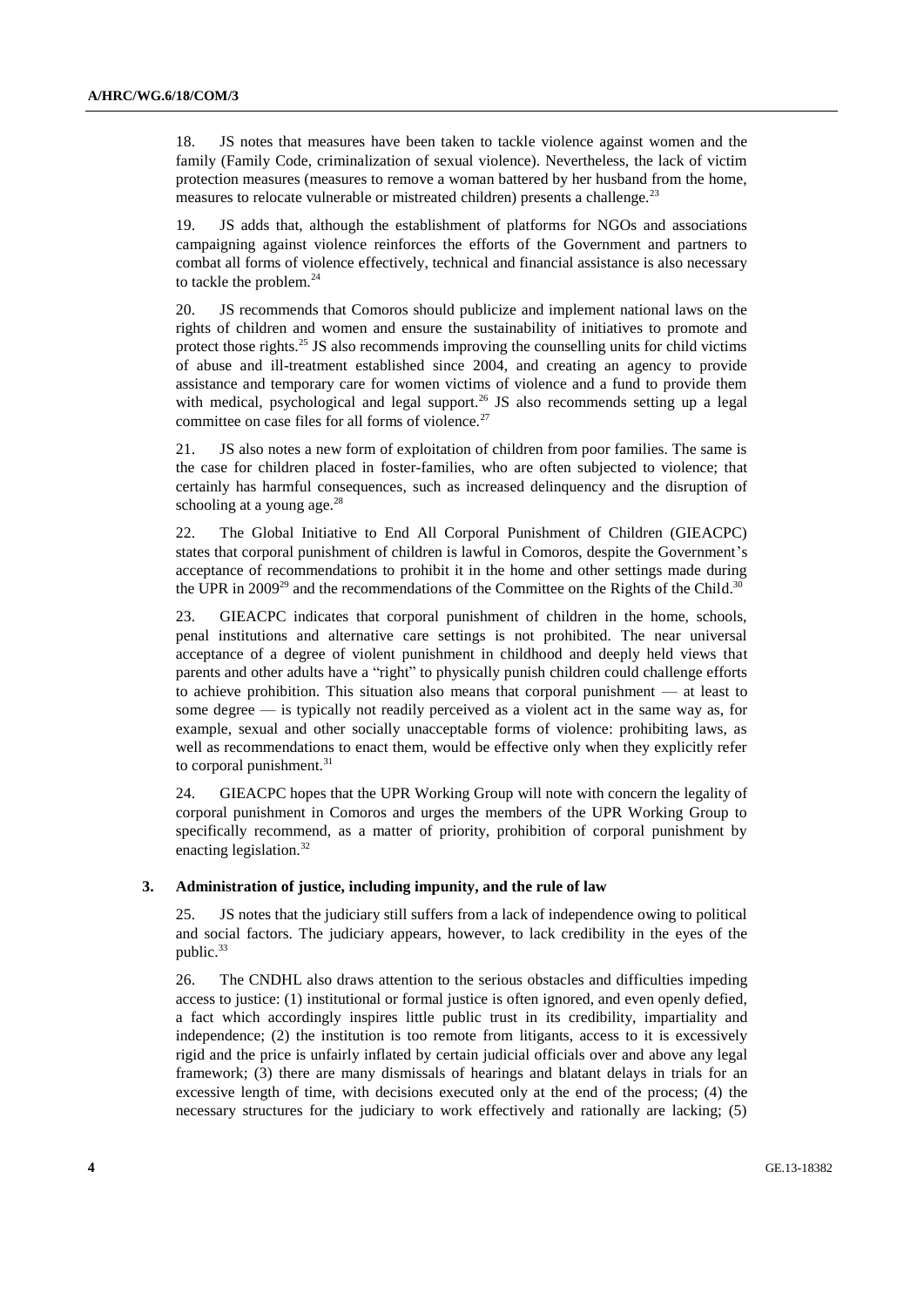18. JS notes that measures have been taken to tackle violence against women and the family (Family Code, criminalization of sexual violence). Nevertheless, the lack of victim protection measures (measures to remove a woman battered by her husband from the home, measures to relocate vulnerable or mistreated children) presents a challenge.<sup>23</sup>

19. JS adds that, although the establishment of platforms for NGOs and associations campaigning against violence reinforces the efforts of the Government and partners to combat all forms of violence effectively, technical and financial assistance is also necessary to tackle the problem. $^{24}$ 

20. JS recommends that Comoros should publicize and implement national laws on the rights of children and women and ensure the sustainability of initiatives to promote and protect those rights. $^{25}$  JS also recommends improving the counselling units for child victims of abuse and ill-treatment established since 2004, and creating an agency to provide assistance and temporary care for women victims of violence and a fund to provide them with medical, psychological and legal support.<sup>26</sup> JS also recommends setting up a legal committee on case files for all forms of violence.<sup>27</sup>

21. JS also notes a new form of exploitation of children from poor families. The same is the case for children placed in foster-families, who are often subjected to violence; that certainly has harmful consequences, such as increased delinquency and the disruption of schooling at a young age. $^{28}$ 

22. The Global Initiative to End All Corporal Punishment of Children (GIEACPC) states that corporal punishment of children is lawful in Comoros, despite the Government's acceptance of recommendations to prohibit it in the home and other settings made during the UPR in 2009<sup>29</sup> and the recommendations of the Committee on the Rights of the Child.<sup>30</sup>

23. GIEACPC indicates that corporal punishment of children in the home, schools, penal institutions and alternative care settings is not prohibited. The near universal acceptance of a degree of violent punishment in childhood and deeply held views that parents and other adults have a "right" to physically punish children could challenge efforts to achieve prohibition. This situation also means that corporal punishment — at least to some degree — is typically not readily perceived as a violent act in the same way as, for example, sexual and other socially unacceptable forms of violence: prohibiting laws, as well as recommendations to enact them, would be effective only when they explicitly refer to corporal punishment.<sup>31</sup>

24. GIEACPC hopes that the UPR Working Group will note with concern the legality of corporal punishment in Comoros and urges the members of the UPR Working Group to specifically recommend, as a matter of priority, prohibition of corporal punishment by enacting legislation.<sup>32</sup>

#### **3. Administration of justice, including impunity, and the rule of law**

25. JS notes that the judiciary still suffers from a lack of independence owing to political and social factors. The judiciary appears, however, to lack credibility in the eyes of the public. 33

26. The CNDHL also draws attention to the serious obstacles and difficulties impeding access to justice: (1) institutional or formal justice is often ignored, and even openly defied, a fact which accordingly inspires little public trust in its credibility, impartiality and independence; (2) the institution is too remote from litigants, access to it is excessively rigid and the price is unfairly inflated by certain judicial officials over and above any legal framework; (3) there are many dismissals of hearings and blatant delays in trials for an excessive length of time, with decisions executed only at the end of the process; (4) the necessary structures for the judiciary to work effectively and rationally are lacking; (5)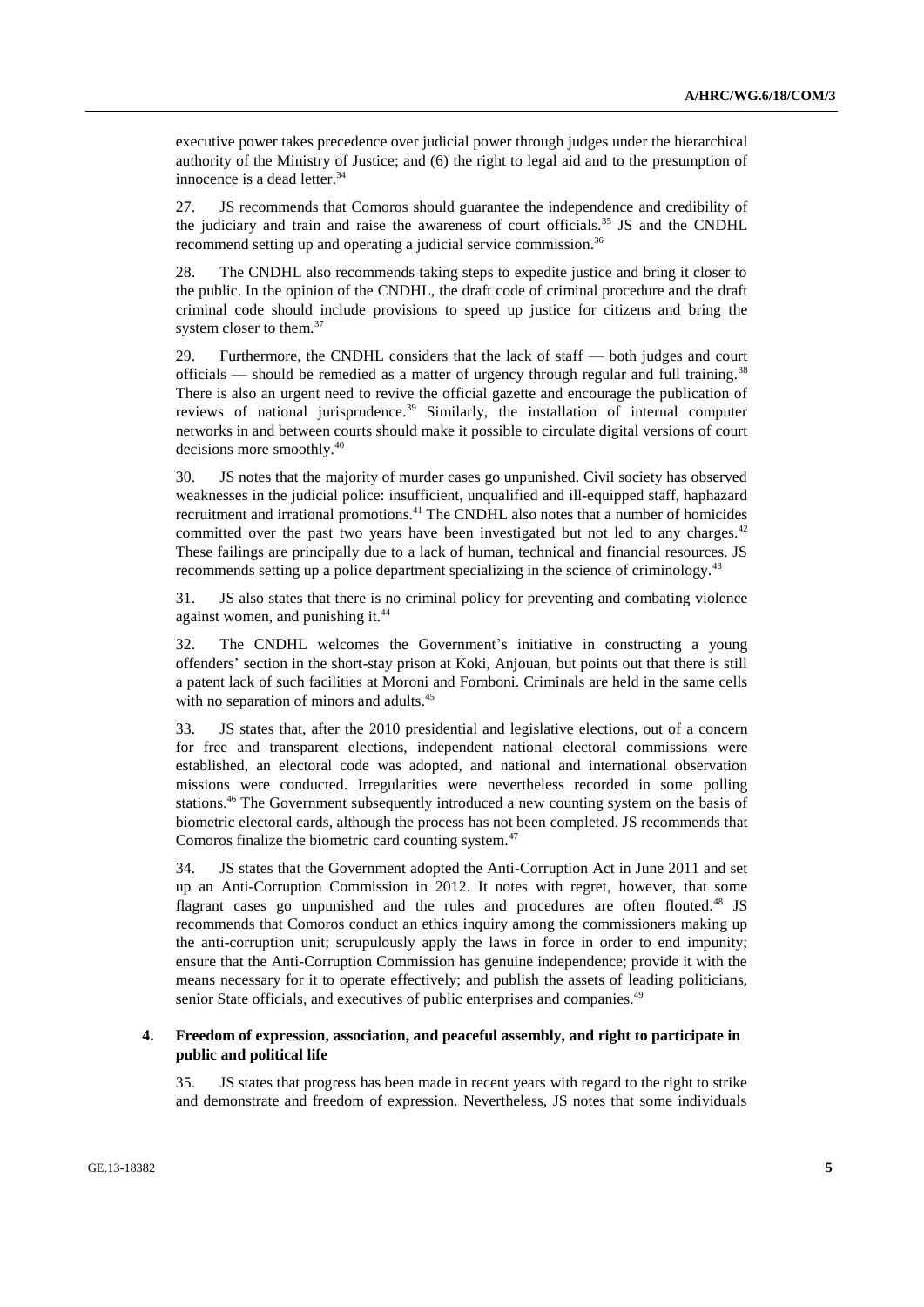executive power takes precedence over judicial power through judges under the hierarchical authority of the Ministry of Justice; and (6) the right to legal aid and to the presumption of innocence is a dead letter. 34

27. JS recommends that Comoros should guarantee the independence and credibility of the judiciary and train and raise the awareness of court officials.<sup>35</sup> JS and the CNDHL recommend setting up and operating a judicial service commission.<sup>36</sup>

28. The CNDHL also recommends taking steps to expedite justice and bring it closer to the public. In the opinion of the CNDHL, the draft code of criminal procedure and the draft criminal code should include provisions to speed up justice for citizens and bring the system closer to them.<sup>37</sup>

29. Furthermore, the CNDHL considers that the lack of staff — both judges and court officials — should be remedied as a matter of urgency through regular and full training.<sup>38</sup> There is also an urgent need to revive the official gazette and encourage the publication of reviews of national jurisprudence.<sup>39</sup> Similarly, the installation of internal computer networks in and between courts should make it possible to circulate digital versions of court decisions more smoothly. 40

30. JS notes that the majority of murder cases go unpunished. Civil society has observed weaknesses in the judicial police: insufficient, unqualified and ill-equipped staff, haphazard recruitment and irrational promotions.<sup>41</sup> The CNDHL also notes that a number of homicides committed over the past two years have been investigated but not led to any charges.<sup>42</sup> These failings are principally due to a lack of human, technical and financial resources. JS recommends setting up a police department specializing in the science of criminology.<sup>43</sup>

31. JS also states that there is no criminal policy for preventing and combating violence against women, and punishing it.<sup>44</sup>

32. The CNDHL welcomes the Government's initiative in constructing a young offenders' section in the short-stay prison at Koki, Anjouan, but points out that there is still a patent lack of such facilities at Moroni and Fomboni. Criminals are held in the same cells with no separation of minors and adults.<sup>45</sup>

33. JS states that, after the 2010 presidential and legislative elections, out of a concern for free and transparent elections, independent national electoral commissions were established, an electoral code was adopted, and national and international observation missions were conducted. Irregularities were nevertheless recorded in some polling stations.<sup>46</sup> The Government subsequently introduced a new counting system on the basis of biometric electoral cards, although the process has not been completed. JS recommends that Comoros finalize the biometric card counting system.<sup>47</sup>

34. JS states that the Government adopted the Anti-Corruption Act in June 2011 and set up an Anti-Corruption Commission in 2012. It notes with regret, however, that some flagrant cases go unpunished and the rules and procedures are often flouted.<sup>48</sup> JS recommends that Comoros conduct an ethics inquiry among the commissioners making up the anti-corruption unit; scrupulously apply the laws in force in order to end impunity; ensure that the Anti-Corruption Commission has genuine independence; provide it with the means necessary for it to operate effectively; and publish the assets of leading politicians, senior State officials, and executives of public enterprises and companies.<sup>49</sup>

## **4. Freedom of expression, association, and peaceful assembly, and right to participate in public and political life**

35. JS states that progress has been made in recent years with regard to the right to strike and demonstrate and freedom of expression. Nevertheless, JS notes that some individuals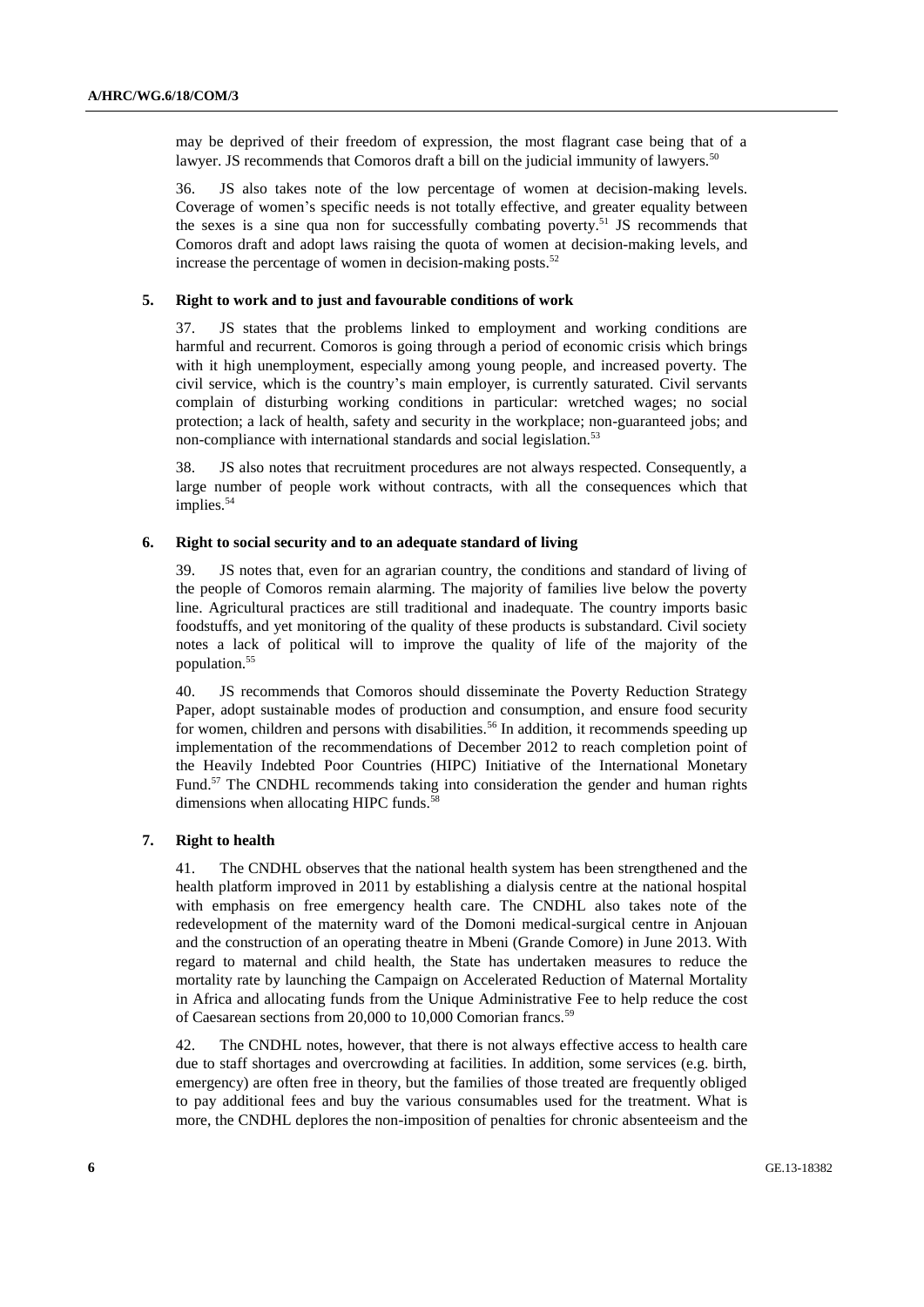may be deprived of their freedom of expression, the most flagrant case being that of a lawyer. JS recommends that Comoros draft a bill on the judicial immunity of lawyers.<sup>50</sup>

36. JS also takes note of the low percentage of women at decision-making levels. Coverage of women's specific needs is not totally effective, and greater equality between the sexes is a sine qua non for successfully combating poverty.<sup>51</sup> JS recommends that Comoros draft and adopt laws raising the quota of women at decision-making levels, and increase the percentage of women in decision-making posts.<sup>52</sup>

#### **5. Right to work and to just and favourable conditions of work**

37. JS states that the problems linked to employment and working conditions are harmful and recurrent. Comoros is going through a period of economic crisis which brings with it high unemployment, especially among young people, and increased poverty. The civil service, which is the country's main employer, is currently saturated. Civil servants complain of disturbing working conditions in particular: wretched wages; no social protection; a lack of health, safety and security in the workplace; non-guaranteed jobs; and non-compliance with international standards and social legislation.<sup>53</sup>

38. JS also notes that recruitment procedures are not always respected. Consequently, a large number of people work without contracts, with all the consequences which that implies. 54

#### **6. Right to social security and to an adequate standard of living**

39. JS notes that, even for an agrarian country, the conditions and standard of living of the people of Comoros remain alarming. The majority of families live below the poverty line. Agricultural practices are still traditional and inadequate. The country imports basic foodstuffs, and yet monitoring of the quality of these products is substandard. Civil society notes a lack of political will to improve the quality of life of the majority of the population.<sup>55</sup>

40. JS recommends that Comoros should disseminate the Poverty Reduction Strategy Paper, adopt sustainable modes of production and consumption, and ensure food security for women, children and persons with disabilities.<sup>56</sup> In addition, it recommends speeding up implementation of the recommendations of December 2012 to reach completion point of the Heavily Indebted Poor Countries (HIPC) Initiative of the International Monetary Fund.<sup>57</sup> The CNDHL recommends taking into consideration the gender and human rights dimensions when allocating HIPC funds.<sup>5</sup>

#### **7. Right to health**

41. The CNDHL observes that the national health system has been strengthened and the health platform improved in 2011 by establishing a dialysis centre at the national hospital with emphasis on free emergency health care. The CNDHL also takes note of the redevelopment of the maternity ward of the Domoni medical-surgical centre in Anjouan and the construction of an operating theatre in Mbeni (Grande Comore) in June 2013. With regard to maternal and child health, the State has undertaken measures to reduce the mortality rate by launching the Campaign on Accelerated Reduction of Maternal Mortality in Africa and allocating funds from the Unique Administrative Fee to help reduce the cost of Caesarean sections from 20,000 to 10,000 Comorian francs.<sup>59</sup>

42. The CNDHL notes, however, that there is not always effective access to health care due to staff shortages and overcrowding at facilities. In addition, some services (e.g. birth, emergency) are often free in theory, but the families of those treated are frequently obliged to pay additional fees and buy the various consumables used for the treatment. What is more, the CNDHL deplores the non-imposition of penalties for chronic absenteeism and the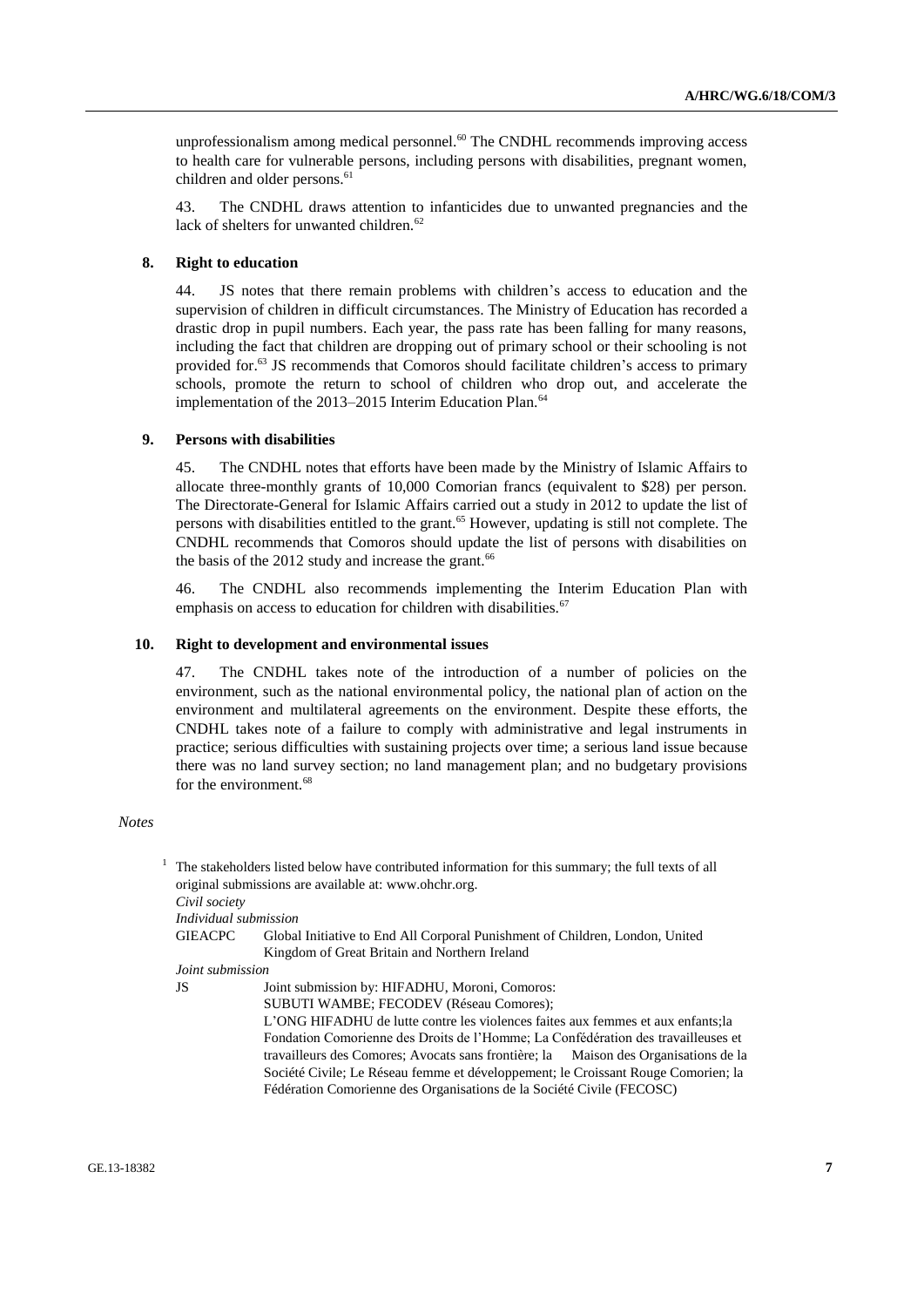unprofessionalism among medical personnel.<sup>60</sup> The CNDHL recommends improving access to health care for vulnerable persons, including persons with disabilities, pregnant women, children and older persons. 61

43. The CNDHL draws attention to infanticides due to unwanted pregnancies and the lack of shelters for unwanted children.<sup>62</sup>

## **8. Right to education**

44. JS notes that there remain problems with children's access to education and the supervision of children in difficult circumstances. The Ministry of Education has recorded a drastic drop in pupil numbers. Each year, the pass rate has been falling for many reasons, including the fact that children are dropping out of primary school or their schooling is not provided for.<sup>63</sup> JS recommends that Comoros should facilitate children's access to primary schools, promote the return to school of children who drop out, and accelerate the implementation of the 2013–2015 Interim Education Plan.<sup>64</sup>

#### **9. Persons with disabilities**

45. The CNDHL notes that efforts have been made by the Ministry of Islamic Affairs to allocate three-monthly grants of 10,000 Comorian francs (equivalent to \$28) per person. The Directorate-General for Islamic Affairs carried out a study in 2012 to update the list of persons with disabilities entitled to the grant.<sup>65</sup> However, updating is still not complete. The CNDHL recommends that Comoros should update the list of persons with disabilities on the basis of the  $2012$  study and increase the grant.<sup>66</sup>

46. The CNDHL also recommends implementing the Interim Education Plan with emphasis on access to education for children with disabilities.<sup>67</sup>

#### **10. Right to development and environmental issues**

47. The CNDHL takes note of the introduction of a number of policies on the environment, such as the national environmental policy, the national plan of action on the environment and multilateral agreements on the environment. Despite these efforts, the CNDHL takes note of a failure to comply with administrative and legal instruments in practice; serious difficulties with sustaining projects over time; a serious land issue because there was no land survey section; no land management plan; and no budgetary provisions for the environment.<sup>68</sup>

#### *Notes*

 $1$  The stakeholders listed below have contributed information for this summary; the full texts of all original submissions are available at: [www.ohchr.org.](http://www.ohchr.org/)

*Civil society*

*Individual submission*

GIEACPC Global Initiative to End All Corporal Punishment of Children, London, United Kingdom of Great Britain and Northern Ireland

*Joint submission*

JS Joint submission by: HIFADHU, Moroni, Comoros:

SUBUTI WAMBE; FECODEV (Réseau Comores);

L'ONG HIFADHU de lutte contre les violences faites aux femmes et aux enfants;la Fondation Comorienne des Droits de l'Homme; La Confédération des travailleuses et travailleurs des Comores; Avocats sans frontière; la Maison des Organisations de la Société Civile; Le Réseau femme et développement; le Croissant Rouge Comorien; la Fédération Comorienne des Organisations de la Société Civile (FECOSC)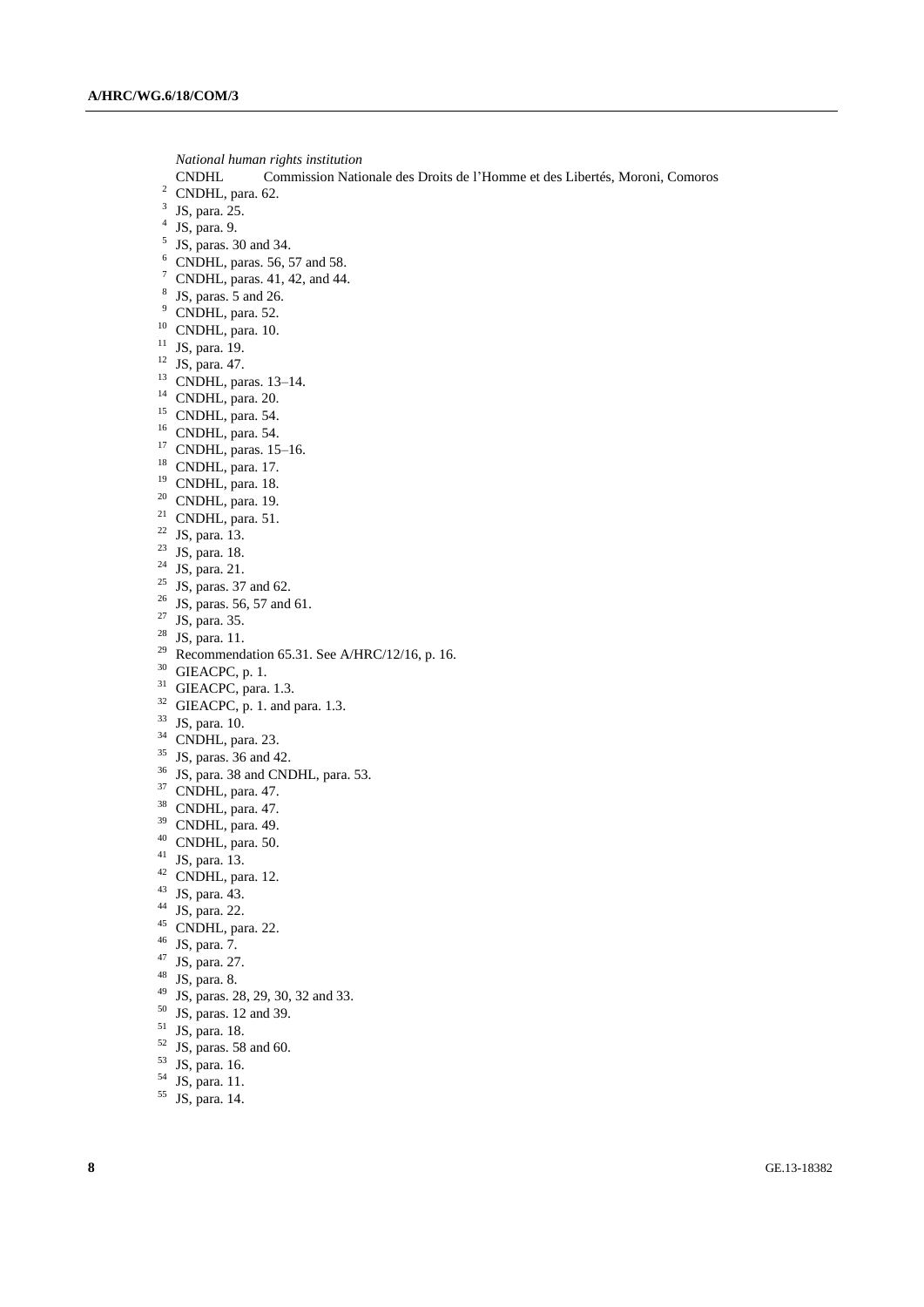*National human rights institution*

- Commission Nationale des Droits de l'Homme et des Libertés, Moroni, Comoros
- CNDHL, para. 62.
- JS, para. 25.
- JS, para. 9.
- <sup>5</sup> JS, paras. 30 and 34.
- CNDHL, paras. 56, 57 and 58.
- <sup>7</sup> CNDHL, paras. 41, 42, and 44.
- JS, paras. 5 and 26.
- <sup>9</sup> CNDHL, para. 52.
- CNDHL, para. 10.
- <sup>11</sup> JS, para. 19.
- JS, para. 47.
- CNDHL, paras. 13–14.
- CNDHL, para. 20.
- <sup>15</sup> CNDHL, para. 54.
- CNDHL, para. 54.
- CNDHL, paras. 15–16.
- CNDHL, para. 17.
- CNDHL, para. 18.
- CNDHL, para. 19.
- CNDHL, para. 51.
- JS, para. 13.
- JS, para. 18.
- JS, para. 21.
- JS, paras. 37 and 62.
- <sup>26</sup> JS, paras. 56, 57 and 61.
- JS, para. 35.
- JS, para. 11.
- 29 Recommendation 65.31. See A/HRC/12/16, p. 16.
- GIEACPC, p. 1.
- GIEACPC, para. 1.3.
- GIEACPC, p. 1. and para. 1.3.
- JS, para. 10.
- <sup>34</sup> CNDHL, para. 23.
- JS, paras.  $36$  and 42.
- <sup>36</sup> JS, para. 38 and CNDHL, para. 53.
- CNDHL, para. 47.
- <sup>38</sup> CNDHL, para. 47.
- CNDHL, para. 49.
- CNDHL, para. 50.
- JS, para. 13.
- CNDHL, para. 12.
- JS, para. 43.
- JS, para. 22.
- <sup>45</sup> CNDHL, para. 22.
- JS, para. 7.
- JS, para. 27.
- JS, para. 8.
- JS, paras. 28, 29, 30, 32 and 33.
- JS, paras. 12 and 39.
- JS, para. 18.
- JS, paras. 58 and 60.
- JS, para. 16.
- JS, para. 11.
- JS, para. 14.